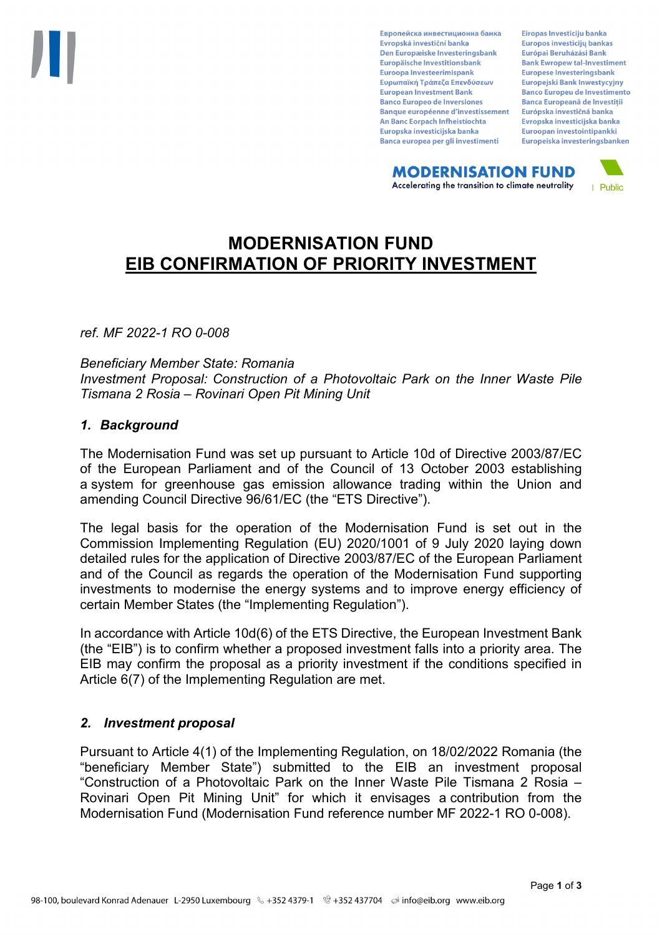Европейска инвестиционна банка Evropská investiční banka Den Europæiske Investeringsbank Europäische Investitionsbank Euroopa Investeerimispank Ευρωπαϊκή Τράπεζα Επενδύσεων **European Investment Bank Banco Europeo de Inversiones Banque européenne d'investissement** An Banc Eorpach Infheistíochta Europska investicijska banka Banca europea per gli investimenti

Eiropas Investīciju banka Europos investicijų bankas Európai Beruházási Bank **Bank Ewropew tal-Investiment** Europese Investeringsbank **Europeiski Bank Inwestycviny Banco Europeu de Investimento Banca Europeană de Investiții** Európska investičná banka Evropska investicijska banka Euroopan investointipankki Europeiska investeringsbanken

**MODERNISATION FUND** Accelerating the transition to climate neutrality



# **MODERNISATION FUND EIB CONFIRMATION OF PRIORITY INVESTMENT**

*ref. MF 2022-1 RO 0-008*

*Beneficiary Member State: Romania Investment Proposal: Construction of a Photovoltaic Park on the Inner Waste Pile Tismana 2 Rosia – Rovinari Open Pit Mining Unit*

### *1. Background*

The Modernisation Fund was set up pursuant to Article 10d of Directive 2003/87/EC of the European Parliament and of the Council of 13 October 2003 establishing a system for greenhouse gas emission allowance trading within the Union and amending Council Directive 96/61/EC (the "ETS Directive").

The legal basis for the operation of the Modernisation Fund is set out in the Commission Implementing Regulation (EU) 2020/1001 of 9 July 2020 laying down detailed rules for the application of Directive 2003/87/EC of the European Parliament and of the Council as regards the operation of the Modernisation Fund supporting investments to modernise the energy systems and to improve energy efficiency of certain Member States (the "Implementing Regulation").

In accordance with Article 10d(6) of the ETS Directive, the European Investment Bank (the "EIB") is to confirm whether a proposed investment falls into a priority area. The EIB may confirm the proposal as a priority investment if the conditions specified in Article 6(7) of the Implementing Regulation are met.

### *2. Investment proposal*

Pursuant to Article 4(1) of the Implementing Regulation, on 18/02/2022 Romania (the "beneficiary Member State") submitted to the EIB an investment proposal "Construction of a Photovoltaic Park on the Inner Waste Pile Tismana 2 Rosia – Rovinari Open Pit Mining Unit" for which it envisages a contribution from the Modernisation Fund (Modernisation Fund reference number MF 2022-1 RO 0-008).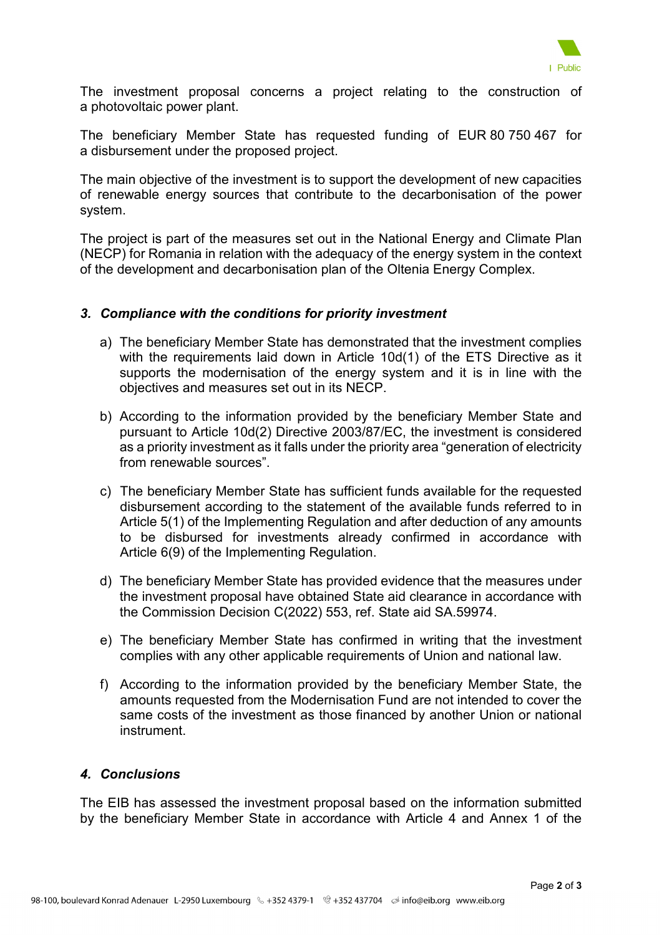

The investment proposal concerns a project relating to the construction of a photovoltaic power plant.

The beneficiary Member State has requested funding of EUR 80 750 467 for a disbursement under the proposed project.

The main objective of the investment is to support the development of new capacities of renewable energy sources that contribute to the decarbonisation of the power system.

The project is part of the measures set out in the National Energy and Climate Plan (NECP) for Romania in relation with the adequacy of the energy system in the context of the development and decarbonisation plan of the Oltenia Energy Complex.

### *3. Compliance with the conditions for priority investment*

- a) The beneficiary Member State has demonstrated that the investment complies with the requirements laid down in Article 10d(1) of the ETS Directive as it supports the modernisation of the energy system and it is in line with the objectives and measures set out in its NECP.
- b) According to the information provided by the beneficiary Member State and pursuant to Article 10d(2) Directive 2003/87/EC, the investment is considered as a priority investment as it falls under the priority area "generation of electricity from renewable sources".
- c) The beneficiary Member State has sufficient funds available for the requested disbursement according to the statement of the available funds referred to in Article 5(1) of the Implementing Regulation and after deduction of any amounts to be disbursed for investments already confirmed in accordance with Article 6(9) of the Implementing Regulation.
- d) The beneficiary Member State has provided evidence that the measures under the investment proposal have obtained State aid clearance in accordance with the Commission Decision C(2022) 553, ref. State aid SA.59974.
- e) The beneficiary Member State has confirmed in writing that the investment complies with any other applicable requirements of Union and national law.
- f) According to the information provided by the beneficiary Member State, the amounts requested from the Modernisation Fund are not intended to cover the same costs of the investment as those financed by another Union or national instrument.

## *4. Conclusions*

The EIB has assessed the investment proposal based on the information submitted by the beneficiary Member State in accordance with Article 4 and Annex 1 of the